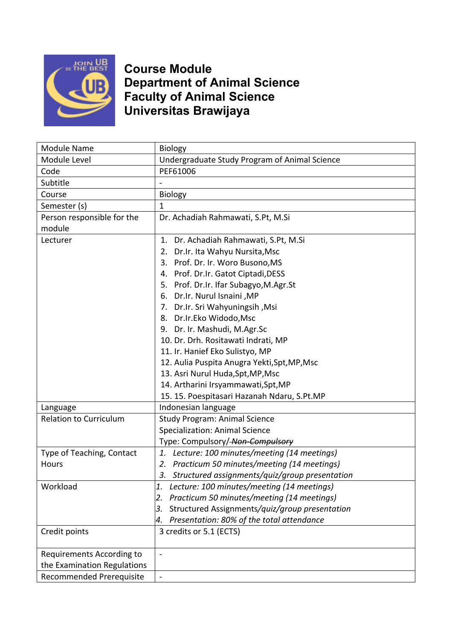

## **Course Module Department of Animal Science Faculty of Animal Science Universitas Brawijaya**

| Module Name                   | Biology                                              |  |  |  |
|-------------------------------|------------------------------------------------------|--|--|--|
| Module Level                  | Undergraduate Study Program of Animal Science        |  |  |  |
| Code                          | PEF61006                                             |  |  |  |
| Subtitle                      |                                                      |  |  |  |
| Course                        | <b>Biology</b>                                       |  |  |  |
| Semester (s)                  | $\mathbf 1$                                          |  |  |  |
| Person responsible for the    | Dr. Achadiah Rahmawati, S.Pt, M.Si                   |  |  |  |
| module                        |                                                      |  |  |  |
| Lecturer                      | Dr. Achadiah Rahmawati, S.Pt, M.Si<br>1.             |  |  |  |
|                               | 2. Dr.Ir. Ita Wahyu Nursita, Msc                     |  |  |  |
|                               | 3. Prof. Dr. Ir. Woro Busono, MS                     |  |  |  |
|                               | 4. Prof. Dr.Ir. Gatot Ciptadi, DESS                  |  |  |  |
|                               | 5. Prof. Dr.Ir. Ifar Subagyo, M.Agr.St               |  |  |  |
|                               | 6. Dr.Ir. Nurul Isnaini, MP                          |  |  |  |
|                               | 7. Dr.Ir. Sri Wahyuningsih, Msi                      |  |  |  |
|                               | 8. Dr.Ir.Eko Widodo, Msc                             |  |  |  |
|                               | 9. Dr. Ir. Mashudi, M.Agr.Sc                         |  |  |  |
|                               | 10. Dr. Drh. Rositawati Indrati, MP                  |  |  |  |
|                               | 11. Ir. Hanief Eko Sulistyo, MP                      |  |  |  |
|                               | 12. Aulia Puspita Anugra Yekti, Spt, MP, Msc         |  |  |  |
|                               | 13. Asri Nurul Huda, Spt, MP, Msc                    |  |  |  |
|                               | 14. Artharini Irsyammawati, Spt, MP                  |  |  |  |
|                               | 15. 15. Poespitasari Hazanah Ndaru, S.Pt.MP          |  |  |  |
| Language                      | Indonesian language                                  |  |  |  |
| <b>Relation to Curriculum</b> | <b>Study Program: Animal Science</b>                 |  |  |  |
|                               | Specialization: Animal Science                       |  |  |  |
|                               | Type: Compulsory/-Non-Compulsory                     |  |  |  |
| Type of Teaching, Contact     | Lecture: 100 minutes/meeting (14 meetings)<br>1.     |  |  |  |
| Hours                         | Practicum 50 minutes/meeting (14 meetings)<br>2.     |  |  |  |
|                               | Structured assignments/quiz/group presentation<br>3. |  |  |  |
| Workload                      | Lecture: 100 minutes/meeting (14 meetings)<br>1.     |  |  |  |
|                               | Practicum 50 minutes/meeting (14 meetings)<br>2.     |  |  |  |
|                               | Structured Assignments/quiz/group presentation<br>3. |  |  |  |
|                               | Presentation: 80% of the total attendance<br>4.      |  |  |  |
| Credit points                 | 3 credits or 5.1 (ECTS)                              |  |  |  |
|                               |                                                      |  |  |  |
| Requirements According to     | $\overline{\phantom{0}}$                             |  |  |  |
| the Examination Regulations   |                                                      |  |  |  |
| Recommended Prerequisite      | $\blacksquare$                                       |  |  |  |
|                               |                                                      |  |  |  |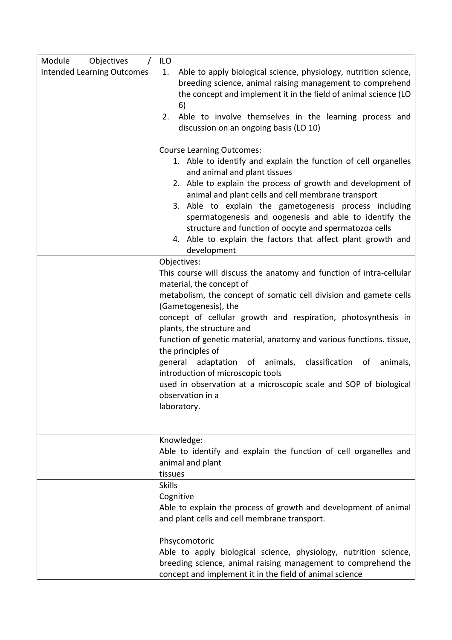| Module<br>Objectives              | ILO                                                                                                                                                                                                                                                                                                                                                                                                                                                                                                                                                                                                                   |
|-----------------------------------|-----------------------------------------------------------------------------------------------------------------------------------------------------------------------------------------------------------------------------------------------------------------------------------------------------------------------------------------------------------------------------------------------------------------------------------------------------------------------------------------------------------------------------------------------------------------------------------------------------------------------|
| <b>Intended Learning Outcomes</b> | 1.<br>Able to apply biological science, physiology, nutrition science,<br>breeding science, animal raising management to comprehend<br>the concept and implement it in the field of animal science (LO<br>6)                                                                                                                                                                                                                                                                                                                                                                                                          |
|                                   | Able to involve themselves in the learning process and<br>2.<br>discussion on an ongoing basis (LO 10)                                                                                                                                                                                                                                                                                                                                                                                                                                                                                                                |
|                                   | <b>Course Learning Outcomes:</b><br>1. Able to identify and explain the function of cell organelles<br>and animal and plant tissues<br>2. Able to explain the process of growth and development of<br>animal and plant cells and cell membrane transport<br>3. Able to explain the gametogenesis process including<br>spermatogenesis and oogenesis and able to identify the<br>structure and function of oocyte and spermatozoa cells<br>4. Able to explain the factors that affect plant growth and<br>development                                                                                                  |
|                                   | Objectives:<br>This course will discuss the anatomy and function of intra-cellular<br>material, the concept of<br>metabolism, the concept of somatic cell division and gamete cells<br>(Gametogenesis), the<br>concept of cellular growth and respiration, photosynthesis in<br>plants, the structure and<br>function of genetic material, anatomy and various functions. tissue,<br>the principles of<br>general adaptation of animals, classification<br>animals,<br>of<br>introduction of microscopic tools<br>used in observation at a microscopic scale and SOP of biological<br>observation in a<br>laboratory. |
|                                   | Knowledge:<br>Able to identify and explain the function of cell organelles and<br>animal and plant<br>tissues                                                                                                                                                                                                                                                                                                                                                                                                                                                                                                         |
|                                   | <b>Skills</b><br>Cognitive<br>Able to explain the process of growth and development of animal<br>and plant cells and cell membrane transport.                                                                                                                                                                                                                                                                                                                                                                                                                                                                         |
|                                   | Phsycomotoric<br>Able to apply biological science, physiology, nutrition science,<br>breeding science, animal raising management to comprehend the<br>concept and implement it in the field of animal science                                                                                                                                                                                                                                                                                                                                                                                                         |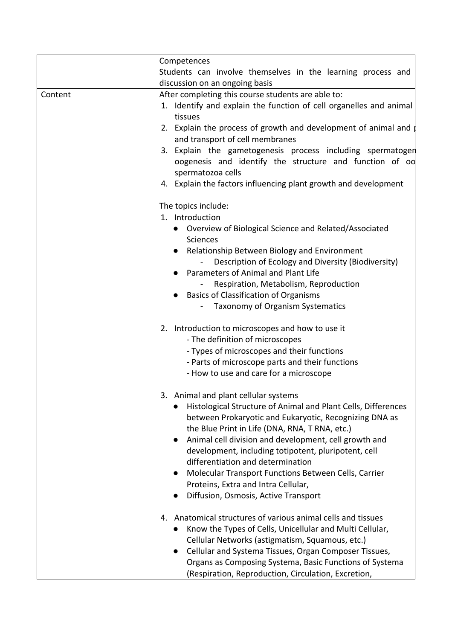|         | Competences                                                                                                                                                                                                                                                                                                                                                                                                                                                                                                    |
|---------|----------------------------------------------------------------------------------------------------------------------------------------------------------------------------------------------------------------------------------------------------------------------------------------------------------------------------------------------------------------------------------------------------------------------------------------------------------------------------------------------------------------|
|         | Students can involve themselves in the learning process and                                                                                                                                                                                                                                                                                                                                                                                                                                                    |
|         | discussion on an ongoing basis                                                                                                                                                                                                                                                                                                                                                                                                                                                                                 |
| Content | After completing this course students are able to:<br>1. Identify and explain the function of cell organelles and animal<br>tissues<br>2. Explain the process of growth and development of animal and<br>and transport of cell membranes<br>3. Explain the gametogenesis process including spermatogen<br>oogenesis and identify the structure and function of od<br>spermatozoa cells<br>4. Explain the factors influencing plant growth and development                                                      |
|         | The topics include:<br>1. Introduction<br>Overview of Biological Science and Related/Associated<br><b>Sciences</b><br>Relationship Between Biology and Environment<br>Description of Ecology and Diversity (Biodiversity)<br>Parameters of Animal and Plant Life<br>Respiration, Metabolism, Reproduction<br><b>Basics of Classification of Organisms</b><br>Taxonomy of Organism Systematics                                                                                                                  |
|         | 2. Introduction to microscopes and how to use it<br>- The definition of microscopes<br>- Types of microscopes and their functions<br>- Parts of microscope parts and their functions<br>- How to use and care for a microscope                                                                                                                                                                                                                                                                                 |
|         | 3. Animal and plant cellular systems<br>Histological Structure of Animal and Plant Cells, Differences<br>between Prokaryotic and Eukaryotic, Recognizing DNA as<br>the Blue Print in Life (DNA, RNA, T RNA, etc.)<br>Animal cell division and development, cell growth and<br>development, including totipotent, pluripotent, cell<br>differentiation and determination<br>Molecular Transport Functions Between Cells, Carrier<br>Proteins, Extra and Intra Cellular,<br>Diffusion, Osmosis, Active Transport |
|         | Anatomical structures of various animal cells and tissues<br>4.<br>Know the Types of Cells, Unicellular and Multi Cellular,<br>Cellular Networks (astigmatism, Squamous, etc.)<br>Cellular and Systema Tissues, Organ Composer Tissues,<br>Organs as Composing Systema, Basic Functions of Systema<br>(Respiration, Reproduction, Circulation, Excretion,                                                                                                                                                      |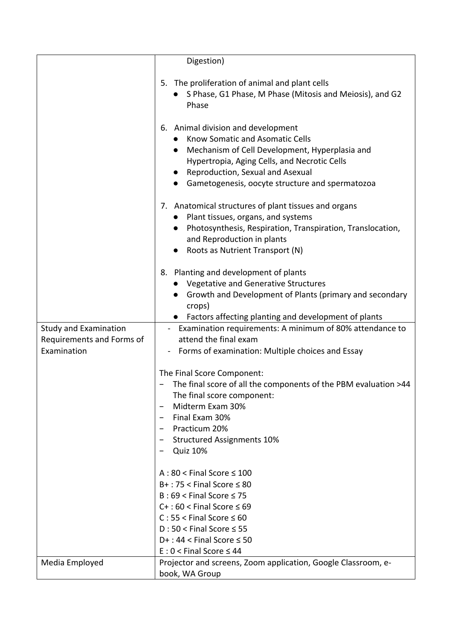|                                                                          | Digestion)                                                                                                                                                                                                                                                                               |
|--------------------------------------------------------------------------|------------------------------------------------------------------------------------------------------------------------------------------------------------------------------------------------------------------------------------------------------------------------------------------|
|                                                                          | 5. The proliferation of animal and plant cells<br>S Phase, G1 Phase, M Phase (Mitosis and Meiosis), and G2<br>Phase                                                                                                                                                                      |
|                                                                          | 6. Animal division and development<br>Know Somatic and Asomatic Cells<br>Mechanism of Cell Development, Hyperplasia and<br>$\bullet$<br>Hypertropia, Aging Cells, and Necrotic Cells<br>Reproduction, Sexual and Asexual<br>$\bullet$<br>Gametogenesis, oocyte structure and spermatozoa |
|                                                                          | 7. Anatomical structures of plant tissues and organs<br>Plant tissues, organs, and systems<br>Photosynthesis, Respiration, Transpiration, Translocation,<br>and Reproduction in plants<br>Roots as Nutrient Transport (N)                                                                |
|                                                                          | 8. Planting and development of plants<br><b>Vegetative and Generative Structures</b><br>Growth and Development of Plants (primary and secondary<br>crops)<br>Factors affecting planting and development of plants                                                                        |
| <b>Study and Examination</b><br>Requirements and Forms of<br>Examination | - Examination requirements: A minimum of 80% attendance to<br>attend the final exam<br>- Forms of examination: Multiple choices and Essay                                                                                                                                                |
|                                                                          | The Final Score Component:<br>The final score of all the components of the PBM evaluation >44<br>The final score component:<br>Midterm Exam 30%<br>Final Exam 30%<br>Practicum 20%<br><b>Structured Assignments 10%</b><br><b>Quiz 10%</b>                                               |
|                                                                          | $A:80 <$ Final Score $\leq 100$<br>$B+$ : 75 < Final Score $\leq 80$<br>$B:69 <$ Final Score $\leq 75$<br>$C+$ : 60 < Final Score $\leq 69$<br>$C: 55 <$ Final Score $\leq 60$<br>$D:50 <$ Final Score $\leq 55$<br>$D+$ : 44 < Final Score $\leq$ 50<br>$E: 0 <$ Final Score $\leq 44$  |
| Media Employed                                                           | Projector and screens, Zoom application, Google Classroom, e-<br>book, WA Group                                                                                                                                                                                                          |